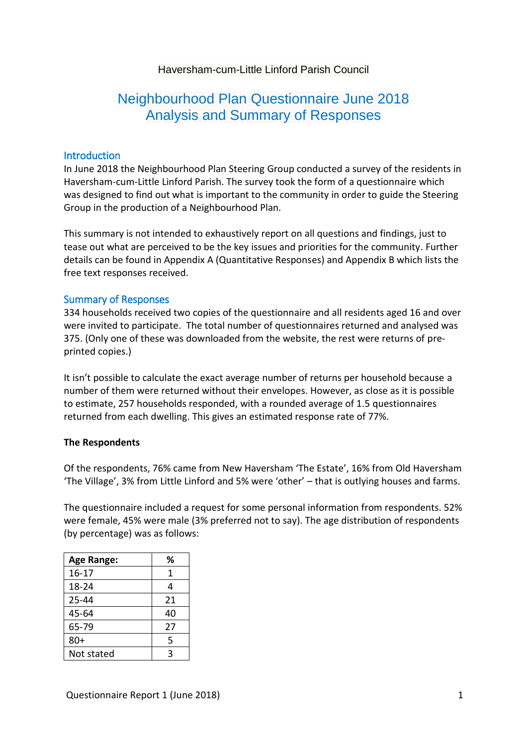# Haversham-cum-Little Linford Parish Council

# Neighbourhood Plan Questionnaire June 2018 Analysis and Summary of Responses

#### Introduction

In June 2018 the Neighbourhood Plan Steering Group conducted a survey of the residents in Haversham-cum-Little Linford Parish. The survey took the form of a questionnaire which was designed to find out what is important to the community in order to guide the Steering Group in the production of a Neighbourhood Plan.

This summary is not intended to exhaustively report on all questions and findings, just to tease out what are perceived to be the key issues and priorities for the community. Further details can be found in Appendix A (Quantitative Responses) and Appendix B which lists the free text responses received.

#### Summary of Responses

334 households received two copies of the questionnaire and all residents aged 16 and over were invited to participate. The total number of questionnaires returned and analysed was 375. (Only one of these was downloaded from the website, the rest were returns of preprinted copies.)

It isn't possible to calculate the exact average number of returns per household because a number of them were returned without their envelopes. However, as close as it is possible to estimate, 257 households responded, with a rounded average of 1.5 questionnaires returned from each dwelling. This gives an estimated response rate of 77%.

#### **The Respondents**

Of the respondents, 76% came from New Haversham 'The Estate', 16% from Old Haversham 'The Village', 3% from Little Linford and 5% were 'other' – that is outlying houses and farms.

The questionnaire included a request for some personal information from respondents. 52% were female, 45% were male (3% preferred not to say). The age distribution of respondents (by percentage) was as follows:

| <b>Age Range:</b> | ℅  |
|-------------------|----|
| $16 - 17$         | 1  |
| 18-24             | 4  |
| $25 - 44$         | 21 |
| 45-64             | 40 |
| 65-79             | 27 |
| $80+$             | 5  |
| Not stated        | ર  |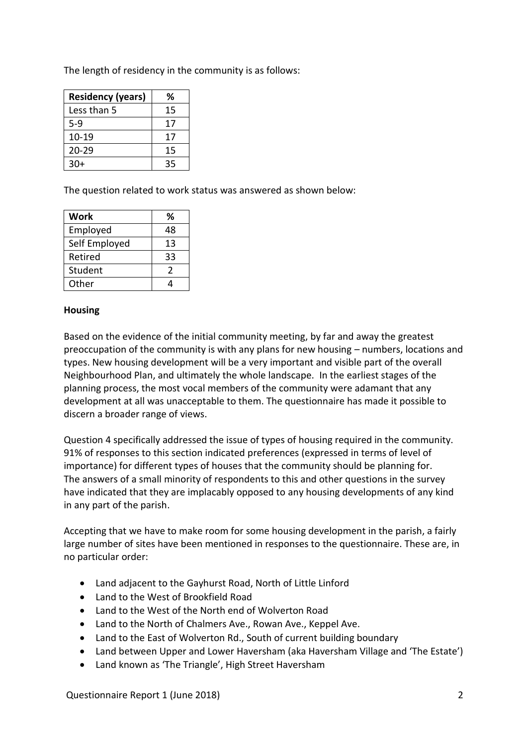The length of residency in the community is as follows:

| <b>Residency (years)</b> | ℅  |
|--------------------------|----|
| Less than 5              | 15 |
| 5-9                      | 17 |
| 10-19                    | 17 |
| $20 - 29$                | 15 |
| $30+$                    | 35 |

The question related to work status was answered as shown below:

| Work          | %  |
|---------------|----|
| Employed      | 48 |
| Self Employed | 13 |
| Retired       | 33 |
| Student       | 2  |
| Other         |    |

## **Housing**

Based on the evidence of the initial community meeting, by far and away the greatest preoccupation of the community is with any plans for new housing – numbers, locations and types. New housing development will be a very important and visible part of the overall Neighbourhood Plan, and ultimately the whole landscape. In the earliest stages of the planning process, the most vocal members of the community were adamant that any development at all was unacceptable to them. The questionnaire has made it possible to discern a broader range of views.

Question 4 specifically addressed the issue of types of housing required in the community. 91% of responses to this section indicated preferences (expressed in terms of level of importance) for different types of houses that the community should be planning for. The answers of a small minority of respondents to this and other questions in the survey have indicated that they are implacably opposed to any housing developments of any kind in any part of the parish.

Accepting that we have to make room for some housing development in the parish, a fairly large number of sites have been mentioned in responses to the questionnaire. These are, in no particular order:

- Land adjacent to the Gayhurst Road, North of Little Linford
- Land to the West of Brookfield Road
- Land to the West of the North end of Wolverton Road
- Land to the North of Chalmers Ave., Rowan Ave., Keppel Ave.
- Land to the East of Wolverton Rd., South of current building boundary
- Land between Upper and Lower Haversham (aka Haversham Village and 'The Estate')
- Land known as 'The Triangle', High Street Haversham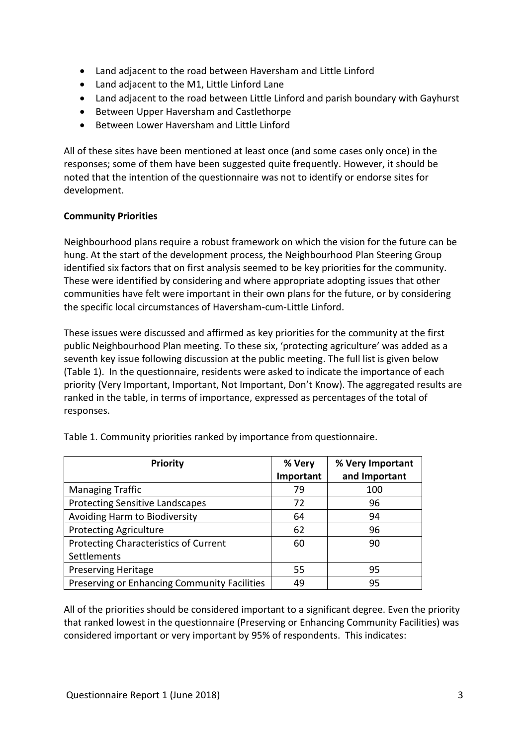- Land adjacent to the road between Haversham and Little Linford
- Land adjacent to the M1, Little Linford Lane
- Land adjacent to the road between Little Linford and parish boundary with Gayhurst
- Between Upper Haversham and Castlethorpe
- Between Lower Haversham and Little Linford

All of these sites have been mentioned at least once (and some cases only once) in the responses; some of them have been suggested quite frequently. However, it should be noted that the intention of the questionnaire was not to identify or endorse sites for development.

# **Community Priorities**

Neighbourhood plans require a robust framework on which the vision for the future can be hung. At the start of the development process, the Neighbourhood Plan Steering Group identified six factors that on first analysis seemed to be key priorities for the community. These were identified by considering and where appropriate adopting issues that other communities have felt were important in their own plans for the future, or by considering the specific local circumstances of Haversham-cum-Little Linford.

These issues were discussed and affirmed as key priorities for the community at the first public Neighbourhood Plan meeting. To these six, 'protecting agriculture' was added as a seventh key issue following discussion at the public meeting. The full list is given below (Table 1). In the questionnaire, residents were asked to indicate the importance of each priority (Very Important, Important, Not Important, Don't Know). The aggregated results are ranked in the table, in terms of importance, expressed as percentages of the total of responses.

| <b>Priority</b>                              | % Very    | % Very Important |
|----------------------------------------------|-----------|------------------|
|                                              | Important | and Important    |
| <b>Managing Traffic</b>                      | 79        | 100              |
| <b>Protecting Sensitive Landscapes</b>       | 72        | 96               |
| Avoiding Harm to Biodiversity                | 64        | 94               |
| <b>Protecting Agriculture</b>                | 62        | 96               |
| Protecting Characteristics of Current        | 60        | 90               |
| Settlements                                  |           |                  |
| <b>Preserving Heritage</b>                   | 55        | 95               |
| Preserving or Enhancing Community Facilities | 49        | 95               |

Table 1. Community priorities ranked by importance from questionnaire.

All of the priorities should be considered important to a significant degree. Even the priority that ranked lowest in the questionnaire (Preserving or Enhancing Community Facilities) was considered important or very important by 95% of respondents. This indicates: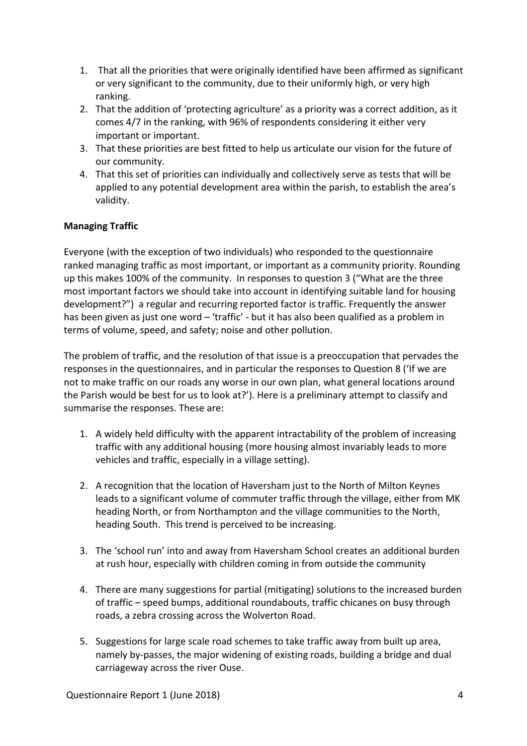- 1. That all the priorities that were originally identified have been affirmed as significant or very significant to the community, due to their uniformly high, or very high ranking.
- 2. That the addition of 'protecting agriculture' as a priority was a correct addition, as it comes 4/7 in the ranking, with 96% of respondents considering it either very important or important.
- 3. That these priorities are best fitted to help us articulate our vision for the future of our community.
- 4. That this set of priorities can individually and collectively serve as tests that will be applied to any potential development area within the parish, to establish the area's validity.

# **Managing Traffic**

Everyone (with the exception of two individuals) who responded to the questionnaire ranked managing traffic as most important, or important as a community priority. Rounding up this makes 100% of the community. In responses to question 3 ("What are the three most important factors we should take into account in identifying suitable land for housing development?") a regular and recurring reported factor is traffic. Frequently the answer has been given as just one word – 'traffic' - but it has also been qualified as a problem in terms of volume, speed, and safety; noise and other pollution.

The problem of traffic, and the resolution of that issue is a preoccupation that pervades the responses in the questionnaires, and in particular the responses to Question 8 ('If we are not to make traffic on our roads any worse in our own plan, what general locations around the Parish would be best for us to look at?'). Here is a preliminary attempt to classify and summarise the responses. These are:

- 1. A widely held difficulty with the apparent intractability of the problem of increasing traffic with any additional housing (more housing almost invariably leads to more vehicles and traffic, especially in a village setting).
- 2. A recognition that the location of Haversham just to the North of Milton Keynes leads to a significant volume of commuter traffic through the village, either from MK heading North, or from Northampton and the village communities to the North, heading South. This trend is perceived to be increasing.
- 3. The 'school run' into and away from Haversham School creates an additional burden at rush hour, especially with children coming in from outside the community
- 4. There are many suggestions for partial (mitigating) solutions to the increased burden of traffic – speed bumps, additional roundabouts, traffic chicanes on busy through roads, a zebra crossing across the Wolverton Road.
- 5. Suggestions for large scale road schemes to take traffic away from built up area, namely by-passes, the major widening of existing roads, building a bridge and dual carriageway across the river Ouse.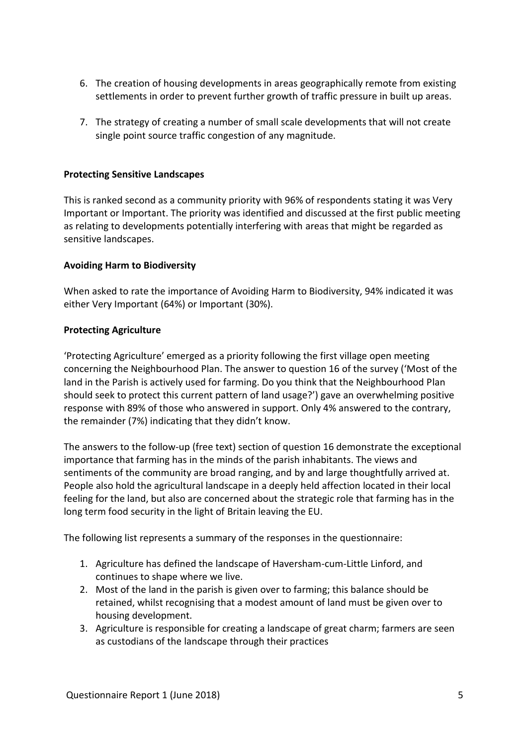- 6. The creation of housing developments in areas geographically remote from existing settlements in order to prevent further growth of traffic pressure in built up areas.
- 7. The strategy of creating a number of small scale developments that will not create single point source traffic congestion of any magnitude.

#### **Protecting Sensitive Landscapes**

This is ranked second as a community priority with 96% of respondents stating it was Very Important or Important. The priority was identified and discussed at the first public meeting as relating to developments potentially interfering with areas that might be regarded as sensitive landscapes.

## **Avoiding Harm to Biodiversity**

When asked to rate the importance of Avoiding Harm to Biodiversity, 94% indicated it was either Very Important (64%) or Important (30%).

#### **Protecting Agriculture**

'Protecting Agriculture' emerged as a priority following the first village open meeting concerning the Neighbourhood Plan. The answer to question 16 of the survey ('Most of the land in the Parish is actively used for farming. Do you think that the Neighbourhood Plan should seek to protect this current pattern of land usage?') gave an overwhelming positive response with 89% of those who answered in support. Only 4% answered to the contrary, the remainder (7%) indicating that they didn't know.

The answers to the follow-up (free text) section of question 16 demonstrate the exceptional importance that farming has in the minds of the parish inhabitants. The views and sentiments of the community are broad ranging, and by and large thoughtfully arrived at. People also hold the agricultural landscape in a deeply held affection located in their local feeling for the land, but also are concerned about the strategic role that farming has in the long term food security in the light of Britain leaving the EU.

The following list represents a summary of the responses in the questionnaire:

- 1. Agriculture has defined the landscape of Haversham-cum-Little Linford, and continues to shape where we live.
- 2. Most of the land in the parish is given over to farming; this balance should be retained, whilst recognising that a modest amount of land must be given over to housing development.
- 3. Agriculture is responsible for creating a landscape of great charm; farmers are seen as custodians of the landscape through their practices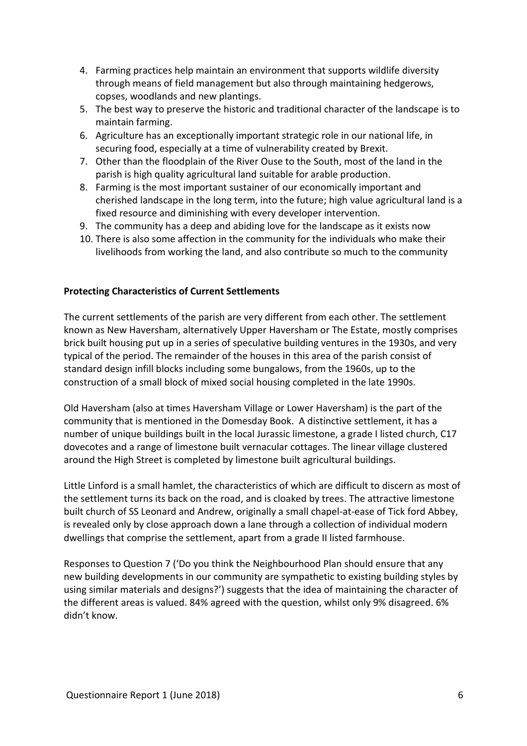- 4. Farming practices help maintain an environment that supports wildlife diversity through means of field management but also through maintaining hedgerows, copses, woodlands and new plantings.
- 5. The best way to preserve the historic and traditional character of the landscape is to maintain farming.
- 6. Agriculture has an exceptionally important strategic role in our national life, in securing food, especially at a time of vulnerability created by Brexit.
- 7. Other than the floodplain of the River Ouse to the South, most of the land in the parish is high quality agricultural land suitable for arable production.
- 8. Farming is the most important sustainer of our economically important and cherished landscape in the long term, into the future; high value agricultural land is a fixed resource and diminishing with every developer intervention.
- 9. The community has a deep and abiding love for the landscape as it exists now
- 10. There is also some affection in the community for the individuals who make their livelihoods from working the land, and also contribute so much to the community

## **Protecting Characteristics of Current Settlements**

The current settlements of the parish are very different from each other. The settlement known as New Haversham, alternatively Upper Haversham or The Estate, mostly comprises brick built housing put up in a series of speculative building ventures in the 1930s, and very typical of the period. The remainder of the houses in this area of the parish consist of standard design infill blocks including some bungalows, from the 1960s, up to the construction of a small block of mixed social housing completed in the late 1990s.

Old Haversham (also at times Haversham Village or Lower Haversham) is the part of the community that is mentioned in the Domesday Book. A distinctive settlement, it has a number of unique buildings built in the local Jurassic limestone, a grade I listed church, C17 dovecotes and a range of limestone built vernacular cottages. The linear village clustered around the High Street is completed by limestone built agricultural buildings.

Little Linford is a small hamlet, the characteristics of which are difficult to discern as most of the settlement turns its back on the road, and is cloaked by trees. The attractive limestone built church of SS Leonard and Andrew, originally a small chapel-at-ease of Tick ford Abbey, is revealed only by close approach down a lane through a collection of individual modern dwellings that comprise the settlement, apart from a grade II listed farmhouse.

Responses to Question 7 ('Do you think the Neighbourhood Plan should ensure that any new building developments in our community are sympathetic to existing building styles by using similar materials and designs?') suggests that the idea of maintaining the character of the different areas is valued. 84% agreed with the question, whilst only 9% disagreed. 6% didn't know.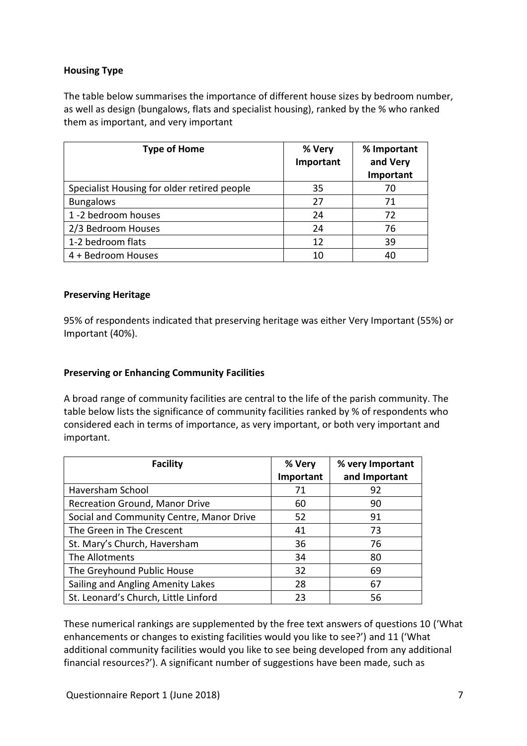# **Housing Type**

The table below summarises the importance of different house sizes by bedroom number, as well as design (bungalows, flats and specialist housing), ranked by the % who ranked them as important, and very important

| <b>Type of Home</b>                         | % Very<br>Important | % Important<br>and Very<br>Important |
|---------------------------------------------|---------------------|--------------------------------------|
| Specialist Housing for older retired people | 35                  | 70                                   |
| <b>Bungalows</b>                            | 27                  | 71                                   |
| 1 -2 bedroom houses                         | 24                  | 72                                   |
| 2/3 Bedroom Houses                          | 24                  | 76                                   |
| 1-2 bedroom flats                           | 12                  | 39                                   |
| 4 + Bedroom Houses                          | 10                  | 40                                   |

## **Preserving Heritage**

95% of respondents indicated that preserving heritage was either Very Important (55%) or Important (40%).

#### **Preserving or Enhancing Community Facilities**

A broad range of community facilities are central to the life of the parish community. The table below lists the significance of community facilities ranked by % of respondents who considered each in terms of importance, as very important, or both very important and important.

| <b>Facility</b>                          | % Very    | % very Important |
|------------------------------------------|-----------|------------------|
|                                          | Important | and Important    |
| Haversham School                         | 71        | 92               |
| Recreation Ground, Manor Drive           | 60        | 90               |
| Social and Community Centre, Manor Drive | 52        | 91               |
| The Green in The Crescent                | 41        | 73               |
| St. Mary's Church, Haversham             | 36        | 76               |
| The Allotments                           | 34        | 80               |
| The Greyhound Public House               | 32        | 69               |
| Sailing and Angling Amenity Lakes        | 28        | 67               |
| St. Leonard's Church, Little Linford     | 23        | 56               |

These numerical rankings are supplemented by the free text answers of questions 10 ('What enhancements or changes to existing facilities would you like to see?') and 11 ('What additional community facilities would you like to see being developed from any additional financial resources?'). A significant number of suggestions have been made, such as